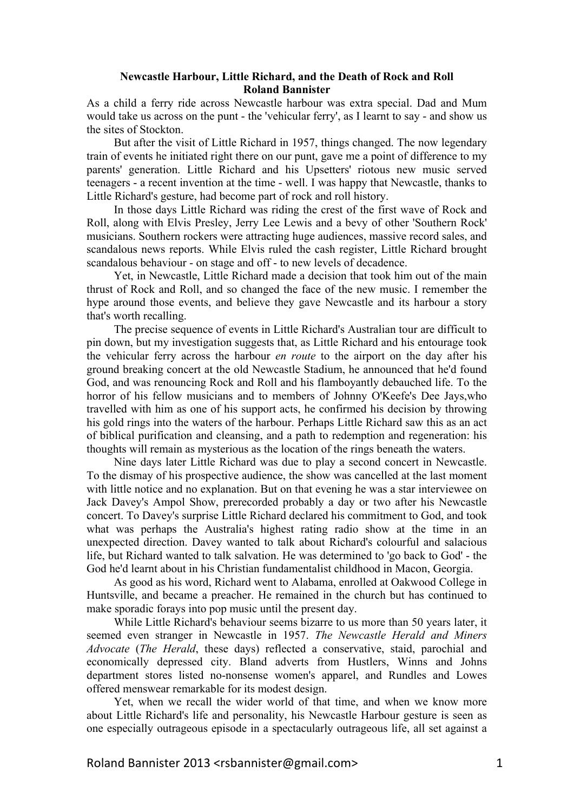## **Newcastle Harbour, Little Richard, and the Death of Rock and Roll Roland Bannister**

As a child a ferry ride across Newcastle harbour was extra special. Dad and Mum would take us across on the punt - the 'vehicular ferry', as I learnt to say - and show us the sites of Stockton.

But after the visit of Little Richard in 1957, things changed. The now legendary train of events he initiated right there on our punt, gave me a point of difference to my parents' generation. Little Richard and his Upsetters' riotous new music served teenagers - a recent invention at the time - well. I was happy that Newcastle, thanks to Little Richard's gesture, had become part of rock and roll history.

In those days Little Richard was riding the crest of the first wave of Rock and Roll, along with Elvis Presley, Jerry Lee Lewis and a bevy of other 'Southern Rock' musicians. Southern rockers were attracting huge audiences, massive record sales, and scandalous news reports. While Elvis ruled the cash register, Little Richard brought scandalous behaviour - on stage and off - to new levels of decadence.

Yet, in Newcastle, Little Richard made a decision that took him out of the main thrust of Rock and Roll, and so changed the face of the new music. I remember the hype around those events, and believe they gave Newcastle and its harbour a story that's worth recalling.

The precise sequence of events in Little Richard's Australian tour are difficult to pin down, but my investigation suggests that, as Little Richard and his entourage took the vehicular ferry across the harbour *en route* to the airport on the day after his ground breaking concert at the old Newcastle Stadium, he announced that he'd found God, and was renouncing Rock and Roll and his flamboyantly debauched life. To the horror of his fellow musicians and to members of Johnny O'Keefe's Dee Jays,who travelled with him as one of his support acts, he confirmed his decision by throwing his gold rings into the waters of the harbour. Perhaps Little Richard saw this as an act of biblical purification and cleansing, and a path to redemption and regeneration: his thoughts will remain as mysterious as the location of the rings beneath the waters.

Nine days later Little Richard was due to play a second concert in Newcastle. To the dismay of his prospective audience, the show was cancelled at the last moment with little notice and no explanation. But on that evening he was a star interviewee on Jack Davey's Ampol Show, prerecorded probably a day or two after his Newcastle concert. To Davey's surprise Little Richard declared his commitment to God, and took what was perhaps the Australia's highest rating radio show at the time in an unexpected direction. Davey wanted to talk about Richard's colourful and salacious life, but Richard wanted to talk salvation. He was determined to 'go back to God' - the God he'd learnt about in his Christian fundamentalist childhood in Macon, Georgia.

As good as his word, Richard went to Alabama, enrolled at Oakwood College in Huntsville, and became a preacher. He remained in the church but has continued to make sporadic forays into pop music until the present day.

While Little Richard's behaviour seems bizarre to us more than 50 years later, it seemed even stranger in Newcastle in 1957. *The Newcastle Herald and Miners Advocate* (*The Herald*, these days) reflected a conservative, staid, parochial and economically depressed city. Bland adverts from Hustlers, Winns and Johns department stores listed no-nonsense women's apparel, and Rundles and Lowes offered menswear remarkable for its modest design.

Yet, when we recall the wider world of that time, and when we know more about Little Richard's life and personality, his Newcastle Harbour gesture is seen as one especially outrageous episode in a spectacularly outrageous life, all set against a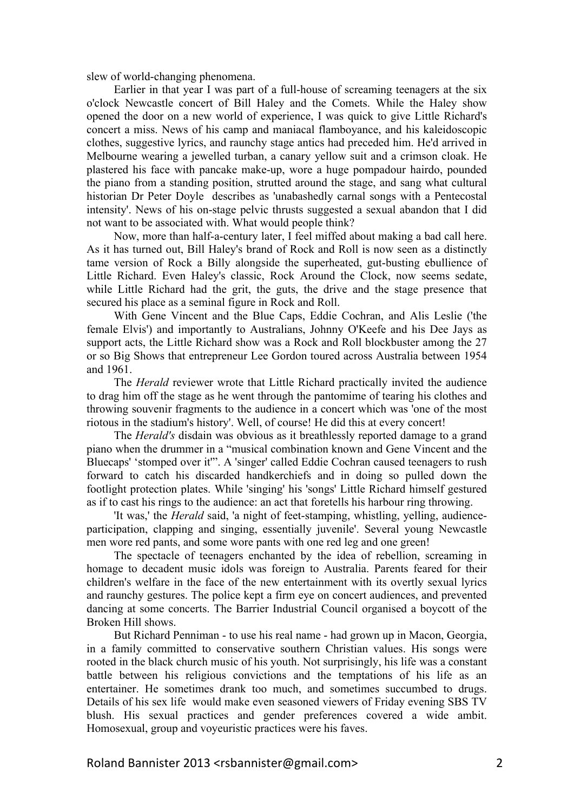slew of world-changing phenomena.

Earlier in that year I was part of a full-house of screaming teenagers at the six o'clock Newcastle concert of Bill Haley and the Comets. While the Haley show opened the door on a new world of experience, I was quick to give Little Richard's concert a miss. News of his camp and maniacal flamboyance, and his kaleidoscopic clothes, suggestive lyrics, and raunchy stage antics had preceded him. He'd arrived in Melbourne wearing a jewelled turban, a canary yellow suit and a crimson cloak. He plastered his face with pancake make-up, wore a huge pompadour hairdo, pounded the piano from a standing position, strutted around the stage, and sang what cultural historian Dr Peter Doyle describes as 'unabashedly carnal songs with a Pentecostal intensity'. News of his on-stage pelvic thrusts suggested a sexual abandon that I did not want to be associated with. What would people think?

Now, more than half-a-century later, I feel miffed about making a bad call here. As it has turned out, Bill Haley's brand of Rock and Roll is now seen as a distinctly tame version of Rock a Billy alongside the superheated, gut-busting ebullience of Little Richard. Even Haley's classic, Rock Around the Clock, now seems sedate, while Little Richard had the grit, the guts, the drive and the stage presence that secured his place as a seminal figure in Rock and Roll.

With Gene Vincent and the Blue Caps, Eddie Cochran, and Alis Leslie ('the female Elvis') and importantly to Australians, Johnny O'Keefe and his Dee Jays as support acts, the Little Richard show was a Rock and Roll blockbuster among the 27 or so Big Shows that entrepreneur Lee Gordon toured across Australia between 1954 and 1961.

The *Herald* reviewer wrote that Little Richard practically invited the audience to drag him off the stage as he went through the pantomime of tearing his clothes and throwing souvenir fragments to the audience in a concert which was 'one of the most riotous in the stadium's history'. Well, of course! He did this at every concert!

The *Herald's* disdain was obvious as it breathlessly reported damage to a grand piano when the drummer in a "musical combination known and Gene Vincent and the Bluecaps' 'stomped over it'". A 'singer' called Eddie Cochran caused teenagers to rush forward to catch his discarded handkerchiefs and in doing so pulled down the footlight protection plates. While 'singing' his 'songs' Little Richard himself gestured as if to cast his rings to the audience: an act that foretells his harbour ring throwing.

'It was,' the *Herald* said, 'a night of feet-stamping, whistling, yelling, audienceparticipation, clapping and singing, essentially juvenile'. Several young Newcastle men wore red pants, and some wore pants with one red leg and one green!

The spectacle of teenagers enchanted by the idea of rebellion, screaming in homage to decadent music idols was foreign to Australia. Parents feared for their children's welfare in the face of the new entertainment with its overtly sexual lyrics and raunchy gestures. The police kept a firm eye on concert audiences, and prevented dancing at some concerts. The Barrier Industrial Council organised a boycott of the Broken Hill shows.

But Richard Penniman - to use his real name - had grown up in Macon, Georgia, in a family committed to conservative southern Christian values. His songs were rooted in the black church music of his youth. Not surprisingly, his life was a constant battle between his religious convictions and the temptations of his life as an entertainer. He sometimes drank too much, and sometimes succumbed to drugs. Details of his sex life would make even seasoned viewers of Friday evening SBS TV blush. His sexual practices and gender preferences covered a wide ambit. Homosexual, group and voyeuristic practices were his faves.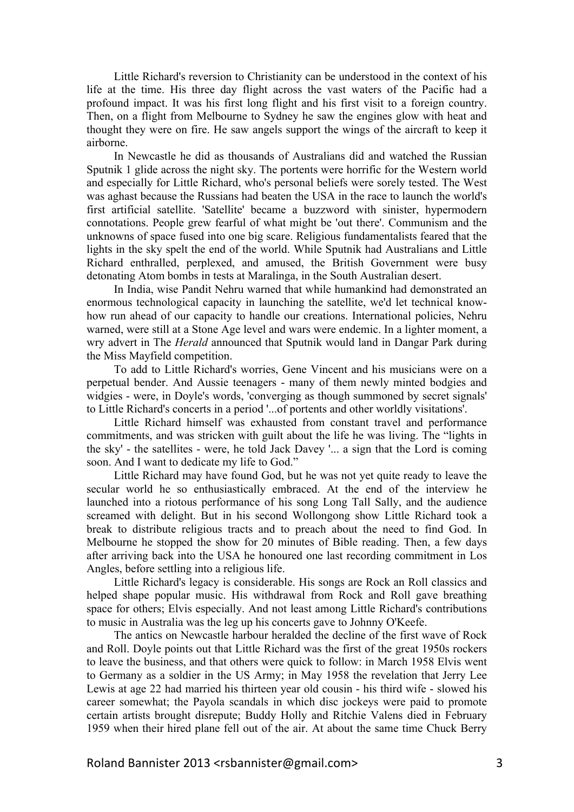Little Richard's reversion to Christianity can be understood in the context of his life at the time. His three day flight across the vast waters of the Pacific had a profound impact. It was his first long flight and his first visit to a foreign country. Then, on a flight from Melbourne to Sydney he saw the engines glow with heat and thought they were on fire. He saw angels support the wings of the aircraft to keep it airborne.

In Newcastle he did as thousands of Australians did and watched the Russian Sputnik 1 glide across the night sky. The portents were horrific for the Western world and especially for Little Richard, who's personal beliefs were sorely tested. The West was aghast because the Russians had beaten the USA in the race to launch the world's first artificial satellite. 'Satellite' became a buzzword with sinister, hypermodern connotations. People grew fearful of what might be 'out there'. Communism and the unknowns of space fused into one big scare. Religious fundamentalists feared that the lights in the sky spelt the end of the world. While Sputnik had Australians and Little Richard enthralled, perplexed, and amused, the British Government were busy detonating Atom bombs in tests at Maralinga, in the South Australian desert.

In India, wise Pandit Nehru warned that while humankind had demonstrated an enormous technological capacity in launching the satellite, we'd let technical knowhow run ahead of our capacity to handle our creations. International policies, Nehru warned, were still at a Stone Age level and wars were endemic. In a lighter moment, a wry advert in The *Herald* announced that Sputnik would land in Dangar Park during the Miss Mayfield competition.

To add to Little Richard's worries, Gene Vincent and his musicians were on a perpetual bender. And Aussie teenagers - many of them newly minted bodgies and widgies - were, in Doyle's words, 'converging as though summoned by secret signals' to Little Richard's concerts in a period '...of portents and other worldly visitations'.

Little Richard himself was exhausted from constant travel and performance commitments, and was stricken with guilt about the life he was living. The "lights in the sky' - the satellites - were, he told Jack Davey '... a sign that the Lord is coming soon. And I want to dedicate my life to God."

Little Richard may have found God, but he was not yet quite ready to leave the secular world he so enthusiastically embraced. At the end of the interview he launched into a riotous performance of his song Long Tall Sally, and the audience screamed with delight. But in his second Wollongong show Little Richard took a break to distribute religious tracts and to preach about the need to find God. In Melbourne he stopped the show for 20 minutes of Bible reading. Then, a few days after arriving back into the USA he honoured one last recording commitment in Los Angles, before settling into a religious life.

Little Richard's legacy is considerable. His songs are Rock an Roll classics and helped shape popular music. His withdrawal from Rock and Roll gave breathing space for others; Elvis especially. And not least among Little Richard's contributions to music in Australia was the leg up his concerts gave to Johnny O'Keefe.

The antics on Newcastle harbour heralded the decline of the first wave of Rock and Roll. Doyle points out that Little Richard was the first of the great 1950s rockers to leave the business, and that others were quick to follow: in March 1958 Elvis went to Germany as a soldier in the US Army; in May 1958 the revelation that Jerry Lee Lewis at age 22 had married his thirteen year old cousin - his third wife - slowed his career somewhat; the Payola scandals in which disc jockeys were paid to promote certain artists brought disrepute; Buddy Holly and Ritchie Valens died in February 1959 when their hired plane fell out of the air. At about the same time Chuck Berry